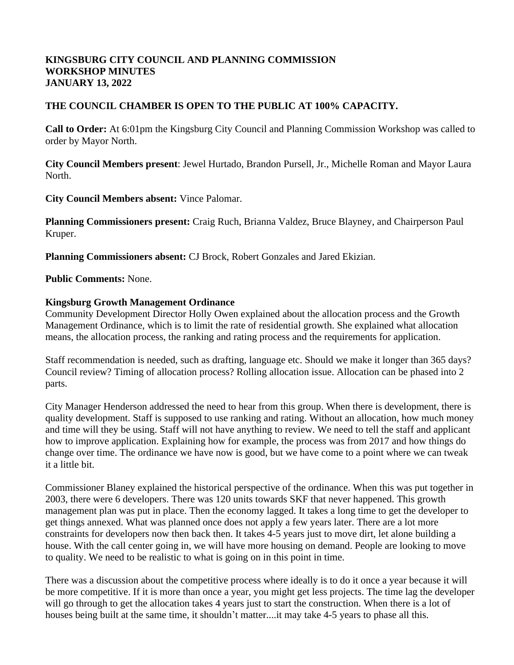### **KINGSBURG CITY COUNCIL AND PLANNING COMMISSION WORKSHOP MINUTES JANUARY 13, 2022**

## **THE COUNCIL CHAMBER IS OPEN TO THE PUBLIC AT 100% CAPACITY.**

**Call to Order:** At 6:01pm the Kingsburg City Council and Planning Commission Workshop was called to order by Mayor North.

**City Council Members present**: Jewel Hurtado, Brandon Pursell, Jr., Michelle Roman and Mayor Laura North.

**City Council Members absent:** Vince Palomar.

**Planning Commissioners present:** Craig Ruch, Brianna Valdez, Bruce Blayney, and Chairperson Paul Kruper.

**Planning Commissioners absent:** CJ Brock, Robert Gonzales and Jared Ekizian.

### **Public Comments:** None.

### **Kingsburg Growth Management Ordinance**

Community Development Director Holly Owen explained about the allocation process and the Growth Management Ordinance, which is to limit the rate of residential growth. She explained what allocation means, the allocation process, the ranking and rating process and the requirements for application.

Staff recommendation is needed, such as drafting, language etc. Should we make it longer than 365 days? Council review? Timing of allocation process? Rolling allocation issue. Allocation can be phased into 2 parts.

City Manager Henderson addressed the need to hear from this group. When there is development, there is quality development. Staff is supposed to use ranking and rating. Without an allocation, how much money and time will they be using. Staff will not have anything to review. We need to tell the staff and applicant how to improve application. Explaining how for example, the process was from 2017 and how things do change over time. The ordinance we have now is good, but we have come to a point where we can tweak it a little bit.

Commissioner Blaney explained the historical perspective of the ordinance. When this was put together in 2003, there were 6 developers. There was 120 units towards SKF that never happened. This growth management plan was put in place. Then the economy lagged. It takes a long time to get the developer to get things annexed. What was planned once does not apply a few years later. There are a lot more constraints for developers now then back then. It takes  $4-5$  years just to move dirt, let alone building a house. With the call center going in, we will have more housing on demand. People are looking to move to quality. We need to be realistic to what is going on in this point in time.

There was a discussion about the competitive process where ideally is to do it once a year because it will be more competitive. If it is more than once a year, you might get less projects. The time lag the developer will go through to get the allocation takes 4 years just to start the construction. When there is a lot of houses being built at the same time, it shouldn't matter....it may take 4-5 years to phase all this.